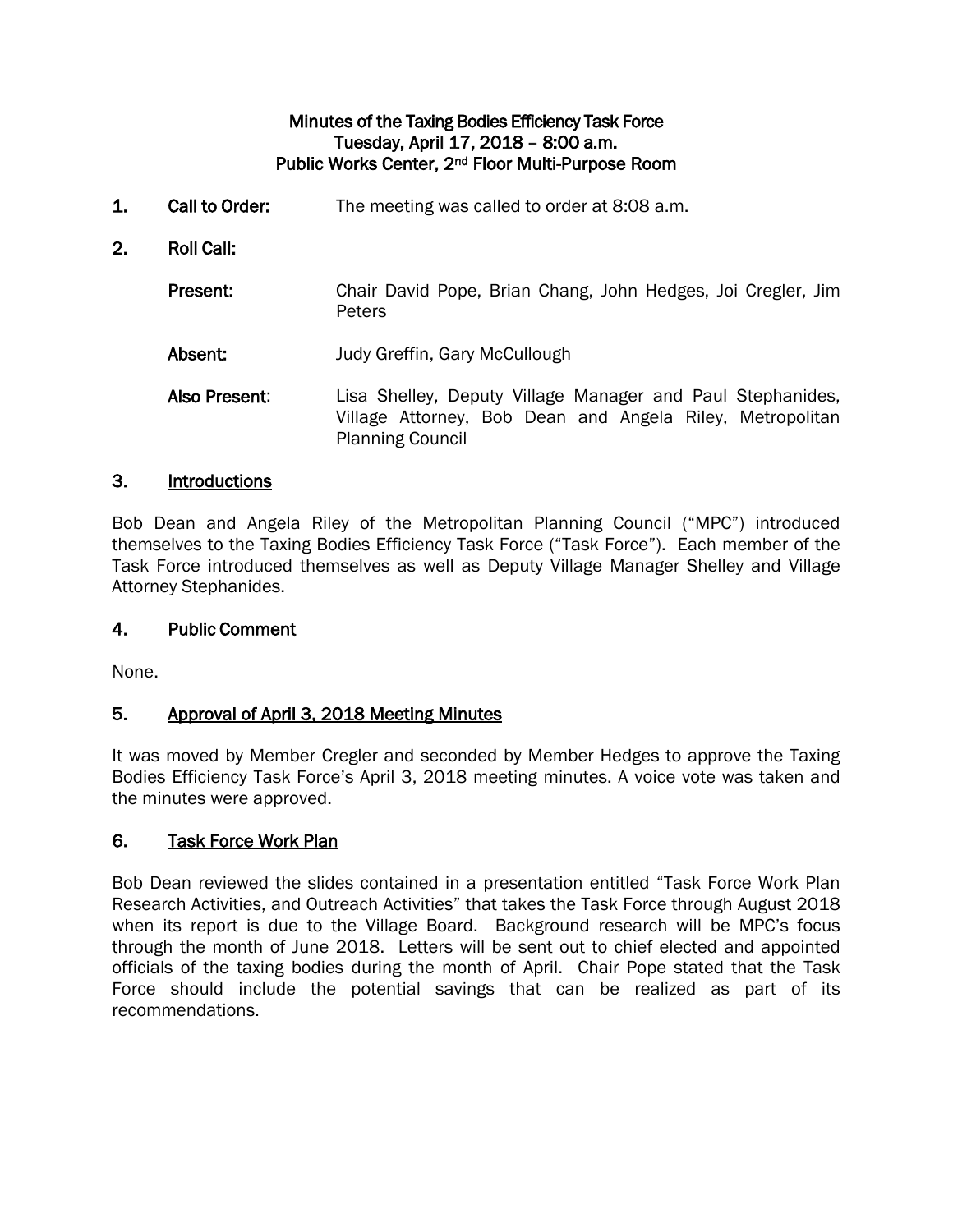#### Minutes of the Taxing Bodies Efficiency Task Force Tuesday, April 17, 2018 – 8:00 a.m. Public Works Center, 2nd Floor Multi-Purpose Room

- 1. Call to Order: The meeting was called to order at 8:08 a.m.
- 2. Roll Call:
	- Present: Chair David Pope, Brian Chang, John Hedges, Joi Cregler. Jim **Peters**
	- Absent: Judy Greffin, Gary McCullough
	- Also Present: Lisa Shelley, Deputy Village Manager and Paul Stephanides, Village Attorney, Bob Dean and Angela Riley, Metropolitan Planning Council

#### 3. Introductions

Bob Dean and Angela Riley of the Metropolitan Planning Council ("MPC") introduced themselves to the Taxing Bodies Efficiency Task Force ("Task Force"). Each member of the Task Force introduced themselves as well as Deputy Village Manager Shelley and Village Attorney Stephanides.

#### 4. Public Comment

None.

#### 5. Approval of April 3, 2018 Meeting Minutes

It was moved by Member Cregler and seconded by Member Hedges to approve the Taxing Bodies Efficiency Task Force's April 3, 2018 meeting minutes. A voice vote was taken and the minutes were approved.

#### 6. Task Force Work Plan

Bob Dean reviewed the slides contained in a presentation entitled "Task Force Work Plan Research Activities, and Outreach Activities" that takes the Task Force through August 2018 when its report is due to the Village Board. Background research will be MPC's focus through the month of June 2018. Letters will be sent out to chief elected and appointed officials of the taxing bodies during the month of April. Chair Pope stated that the Task Force should include the potential savings that can be realized as part of its recommendations.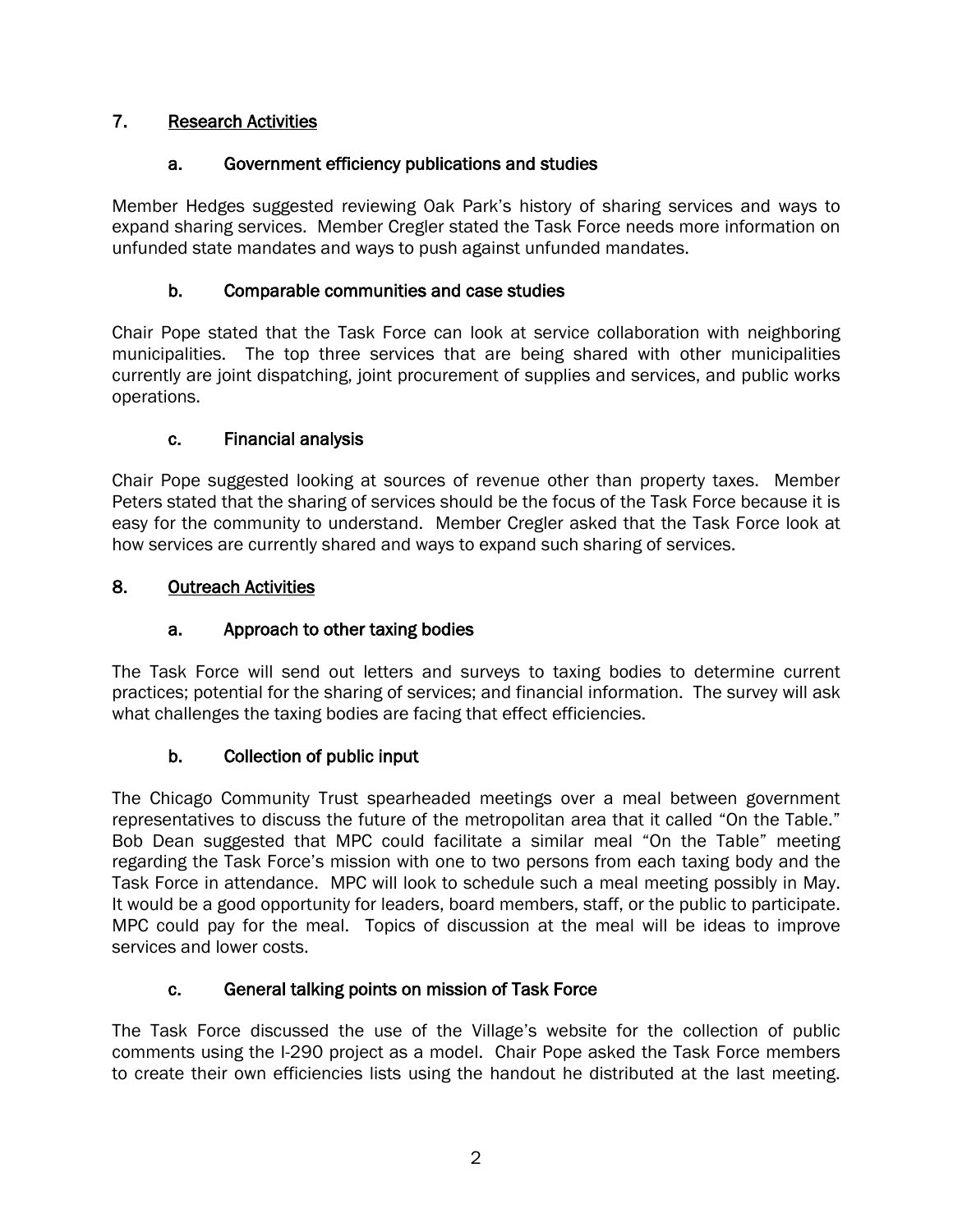## 7. Research Activities

### a. Government efficiency publications and studies

Member Hedges suggested reviewing Oak Park's history of sharing services and ways to expand sharing services. Member Cregler stated the Task Force needs more information on unfunded state mandates and ways to push against unfunded mandates.

## b. Comparable communities and case studies

Chair Pope stated that the Task Force can look at service collaboration with neighboring municipalities. The top three services that are being shared with other municipalities currently are joint dispatching, joint procurement of supplies and services, and public works operations.

## c. Financial analysis

Chair Pope suggested looking at sources of revenue other than property taxes. Member Peters stated that the sharing of services should be the focus of the Task Force because it is easy for the community to understand. Member Cregler asked that the Task Force look at how services are currently shared and ways to expand such sharing of services.

## 8. Outreach Activities

# a. Approach to other taxing bodies

The Task Force will send out letters and surveys to taxing bodies to determine current practices; potential for the sharing of services; and financial information. The survey will ask what challenges the taxing bodies are facing that effect efficiencies.

# b. Collection of public input

The Chicago Community Trust spearheaded meetings over a meal between government representatives to discuss the future of the metropolitan area that it called "On the Table." Bob Dean suggested that MPC could facilitate a similar meal "On the Table" meeting regarding the Task Force's mission with one to two persons from each taxing body and the Task Force in attendance. MPC will look to schedule such a meal meeting possibly in May. It would be a good opportunity for leaders, board members, staff, or the public to participate. MPC could pay for the meal. Topics of discussion at the meal will be ideas to improve services and lower costs.

### c. General talking points on mission of Task Force

The Task Force discussed the use of the Village's website for the collection of public comments using the I-290 project as a model. Chair Pope asked the Task Force members to create their own efficiencies lists using the handout he distributed at the last meeting.